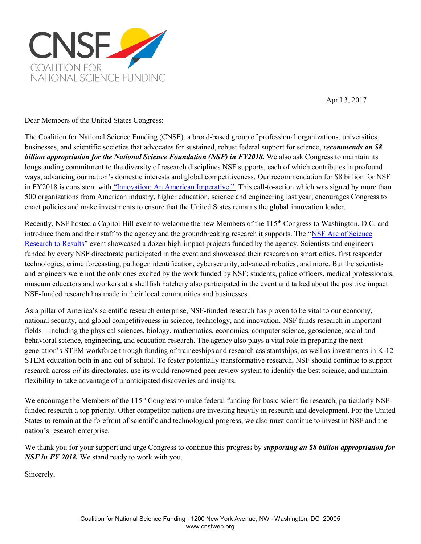

April 3, 2017

Dear Members of the United States Congress:

The Coalition for National Science Funding (CNSF), a broad-based group of professional organizations, universities, businesses, and scientific societies that advocates for sustained, robust federal support for science, *recommends an \$8 billion appropriation for the National Science Foundation (NSF) in FY2018.* We also ask Congress to maintain its longstanding commitment to the diversity of research disciplines NSF supports, each of which contributes in profound ways, advancing our nation's domestic interests and global competitiveness. Our recommendation for \$8 billion for NSF in FY2018 is consistent with ["Innovation: An American Imperative."](https://www.amacad.org/pdfs/InnovationAmericanImperativeCalltoAction.pdf) This call-to-action which was signed by more than 500 organizations from American industry, higher education, science and engineering last year, encourages Congress to enact policies and make investments to ensure that the United States remains the global innovation leader.

Recently, NSF hosted a Capitol Hill event to welcome the new Members of the 115<sup>th</sup> Congress to Washington, D.C. and introduce them and their staff to the agency and the groundbreaking research it supports. The "[NSF Arc of Science](https://www.nsf.gov/news/news_summ.jsp?cntn_id=191047) [Research to Results"](https://www.nsf.gov/news/news_summ.jsp?cntn_id=191047) event showcased a dozen high-impact projects funded by the agency. Scientists and engineers funded by every NSF directorate participated in the event and showcased their research on smart cities, first responder technologies, crime forecasting, pathogen identification, cybersecurity, advanced robotics, and more. But the scientists and engineers were not the only ones excited by the work funded by NSF; students, police officers, medical professionals, museum educators and workers at a shellfish hatchery also participated in the event and talked about the positive impact NSF-funded research has made in their local communities and businesses.

As a pillar of America's scientific research enterprise, NSF-funded research has proven to be vital to our economy, national security, and global competitiveness in science, technology, and innovation. NSF funds research in important fields – including the physical sciences, biology, mathematics, economics, computer science, geoscience, social and behavioral science, engineering, and education research. The agency also plays a vital role in preparing the next generation's STEM workforce through funding of traineeships and research assistantships, as well as investments in K-12 STEM education both in and out of school. To foster potentially transformative research, NSF should continue to support research across *all* its directorates, use its world-renowned peer review system to identify the best science, and maintain flexibility to take advantage of unanticipated discoveries and insights.

We encourage the Members of the  $115<sup>th</sup>$  Congress to make federal funding for basic scientific research, particularly NSFfunded research a top priority. Other competitor-nations are investing heavily in research and development. For the United States to remain at the forefront of scientific and technological progress, we also must continue to invest in NSF and the nation's research enterprise.

We thank you for your support and urge Congress to continue this progress by *supporting an \$8 billion appropriation for NSF in FY 2018.* We stand ready to work with you.

Sincerely,